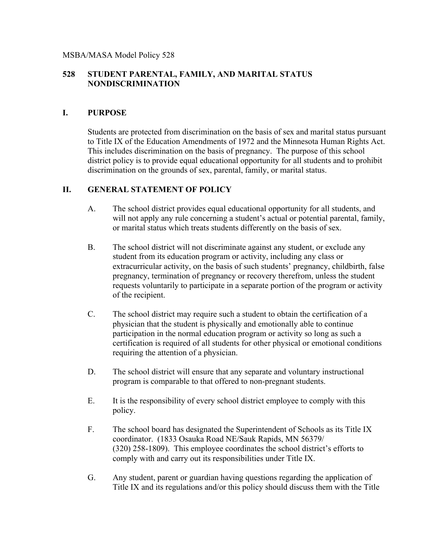## MSBA/MASA Model Policy 528

## **528 STUDENT PARENTAL, FAMILY, AND MARITAL STATUS NONDISCRIMINATION**

## **I. PURPOSE**

Students are protected from discrimination on the basis of sex and marital status pursuant to Title IX of the Education Amendments of 1972 and the Minnesota Human Rights Act. This includes discrimination on the basis of pregnancy. The purpose of this school district policy is to provide equal educational opportunity for all students and to prohibit discrimination on the grounds of sex, parental, family, or marital status.

## **II. GENERAL STATEMENT OF POLICY**

- A. The school district provides equal educational opportunity for all students, and will not apply any rule concerning a student's actual or potential parental, family, or marital status which treats students differently on the basis of sex.
- B. The school district will not discriminate against any student, or exclude any student from its education program or activity, including any class or extracurricular activity, on the basis of such students' pregnancy, childbirth, false pregnancy, termination of pregnancy or recovery therefrom, unless the student requests voluntarily to participate in a separate portion of the program or activity of the recipient.
- C. The school district may require such a student to obtain the certification of a physician that the student is physically and emotionally able to continue participation in the normal education program or activity so long as such a certification is required of all students for other physical or emotional conditions requiring the attention of a physician.
- D. The school district will ensure that any separate and voluntary instructional program is comparable to that offered to non-pregnant students.
- E. It is the responsibility of every school district employee to comply with this policy.
- F. The school board has designated the Superintendent of Schools as its Title IX coordinator. (1833 Osauka Road NE/Sauk Rapids, MN 56379/ (320) 258-1809). This employee coordinates the school district's efforts to comply with and carry out its responsibilities under Title IX.
- G. Any student, parent or guardian having questions regarding the application of Title IX and its regulations and/or this policy should discuss them with the Title